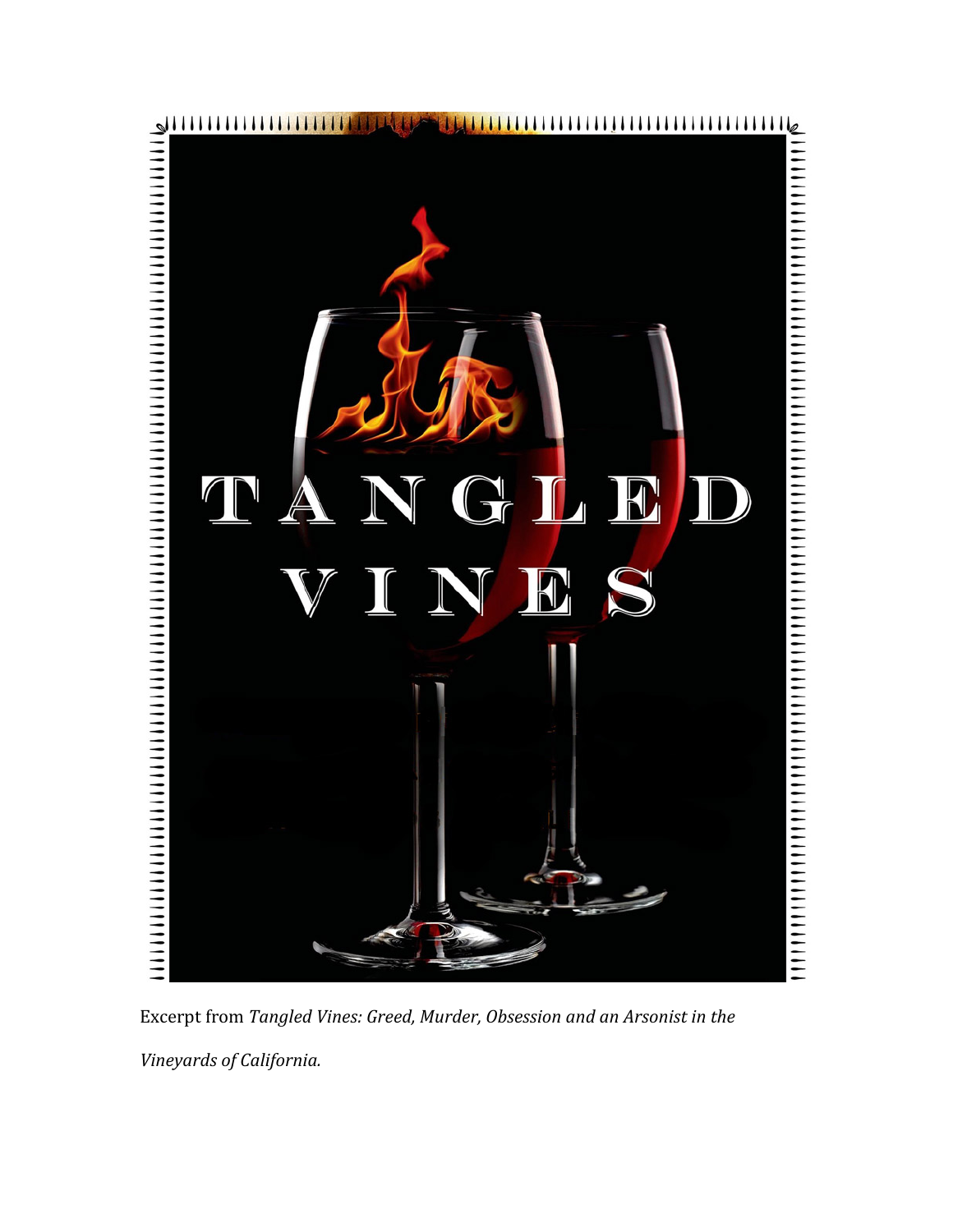

*Vineyards of California.*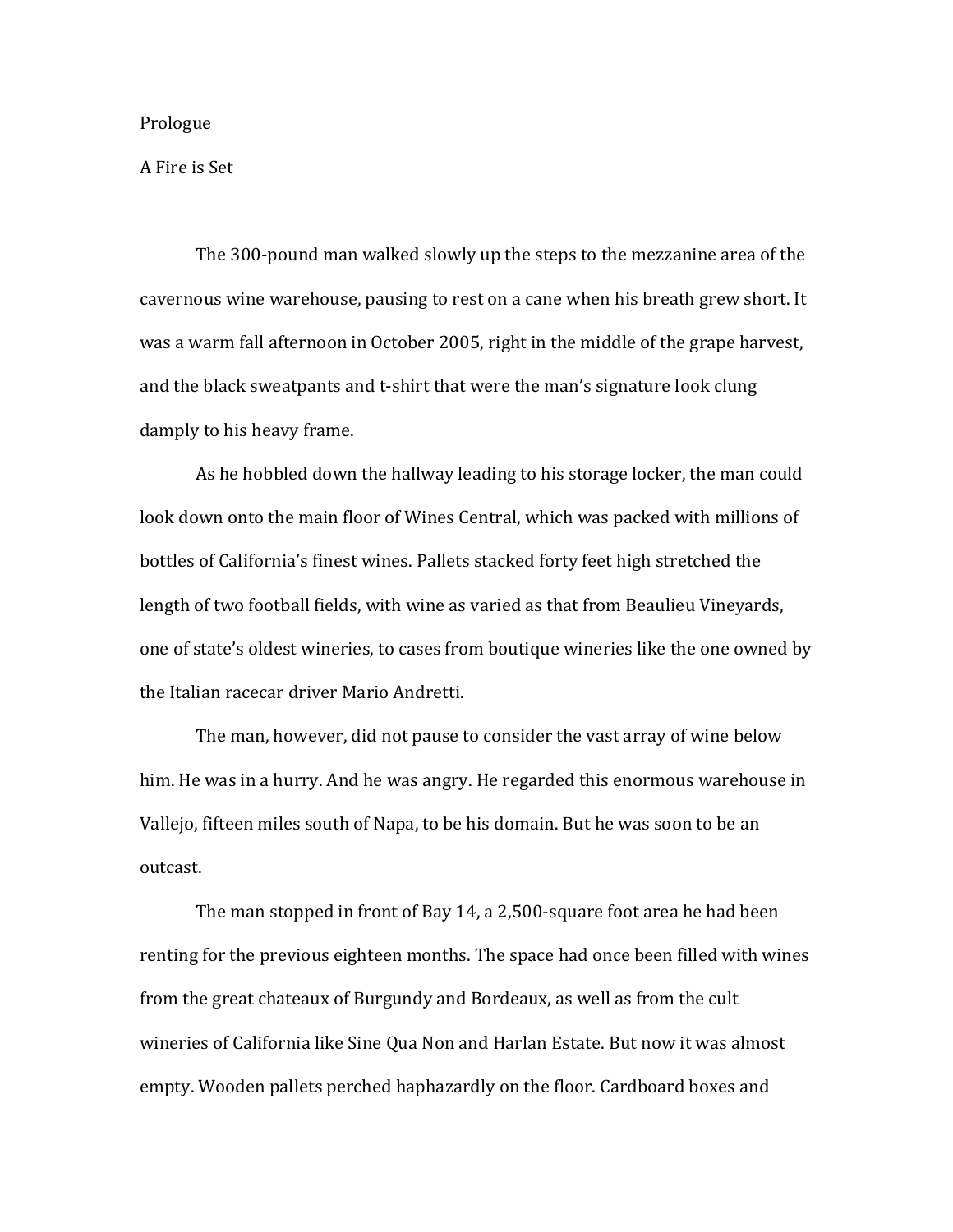## Prologue

## A Fire is Set

The 300-pound man walked slowly up the steps to the mezzanine area of the cavernous wine warehouse, pausing to rest on a cane when his breath grew short. It was a warm fall afternoon in October 2005, right in the middle of the grape harvest, and the black sweatpants and t-shirt that were the man's signature look clung damply to his heavy frame.

As he hobbled down the hallway leading to his storage locker, the man could look down onto the main floor of Wines Central, which was packed with millions of bottles of California's finest wines. Pallets stacked forty feet high stretched the length of two football fields, with wine as varied as that from Beaulieu Vineyards, one of state's oldest wineries, to cases from boutique wineries like the one owned by the Italian racecar driver Mario Andretti.

The man, however, did not pause to consider the vast array of wine below him. He was in a hurry. And he was angry. He regarded this enormous warehouse in Vallejo, fifteen miles south of Napa, to be his domain. But he was soon to be an outcast.

The man stopped in front of Bay 14, a 2,500-square foot area he had been renting for the previous eighteen months. The space had once been filled with wines from the great chateaux of Burgundy and Bordeaux, as well as from the cult wineries of California like Sine Qua Non and Harlan Estate. But now it was almost empty. Wooden pallets perched haphazardly on the floor. Cardboard boxes and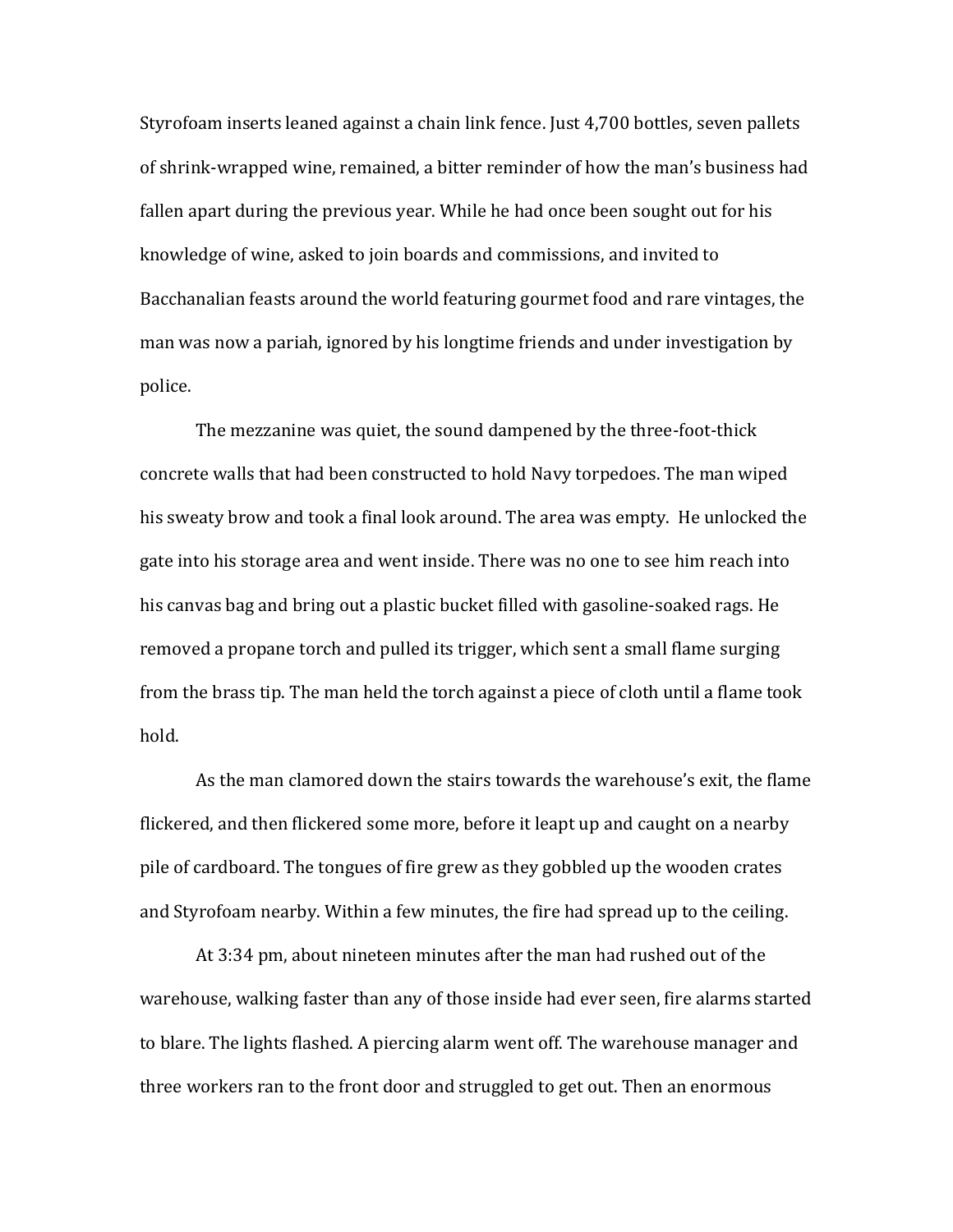Styrofoam inserts leaned against a chain link fence. Just 4,700 bottles, seven pallets of shrink-wrapped wine, remained, a bitter reminder of how the man's business had fallen apart during the previous year. While he had once been sought out for his knowledge of wine, asked to join boards and commissions, and invited to Bacchanalian feasts around the world featuring gourmet food and rare vintages, the man was now a pariah, ignored by his longtime friends and under investigation by police.

The mezzanine was quiet, the sound dampened by the three-foot-thick concrete walls that had been constructed to hold Navy torpedoes. The man wiped his sweaty brow and took a final look around. The area was empty. He unlocked the gate into his storage area and went inside. There was no one to see him reach into his canvas bag and bring out a plastic bucket filled with gasoline-soaked rags. He removed a propane torch and pulled its trigger, which sent a small flame surging from the brass tip. The man held the torch against a piece of cloth until a flame took hold.

As the man clamored down the stairs towards the warehouse's exit, the flame flickered, and then flickered some more, before it leapt up and caught on a nearby pile of cardboard. The tongues of fire grew as they gobbled up the wooden crates and Styrofoam nearby. Within a few minutes, the fire had spread up to the ceiling.

At 3:34 pm, about nineteen minutes after the man had rushed out of the warehouse, walking faster than any of those inside had ever seen, fire alarms started to blare. The lights flashed. A piercing alarm went off. The warehouse manager and three workers ran to the front door and struggled to get out. Then an enormous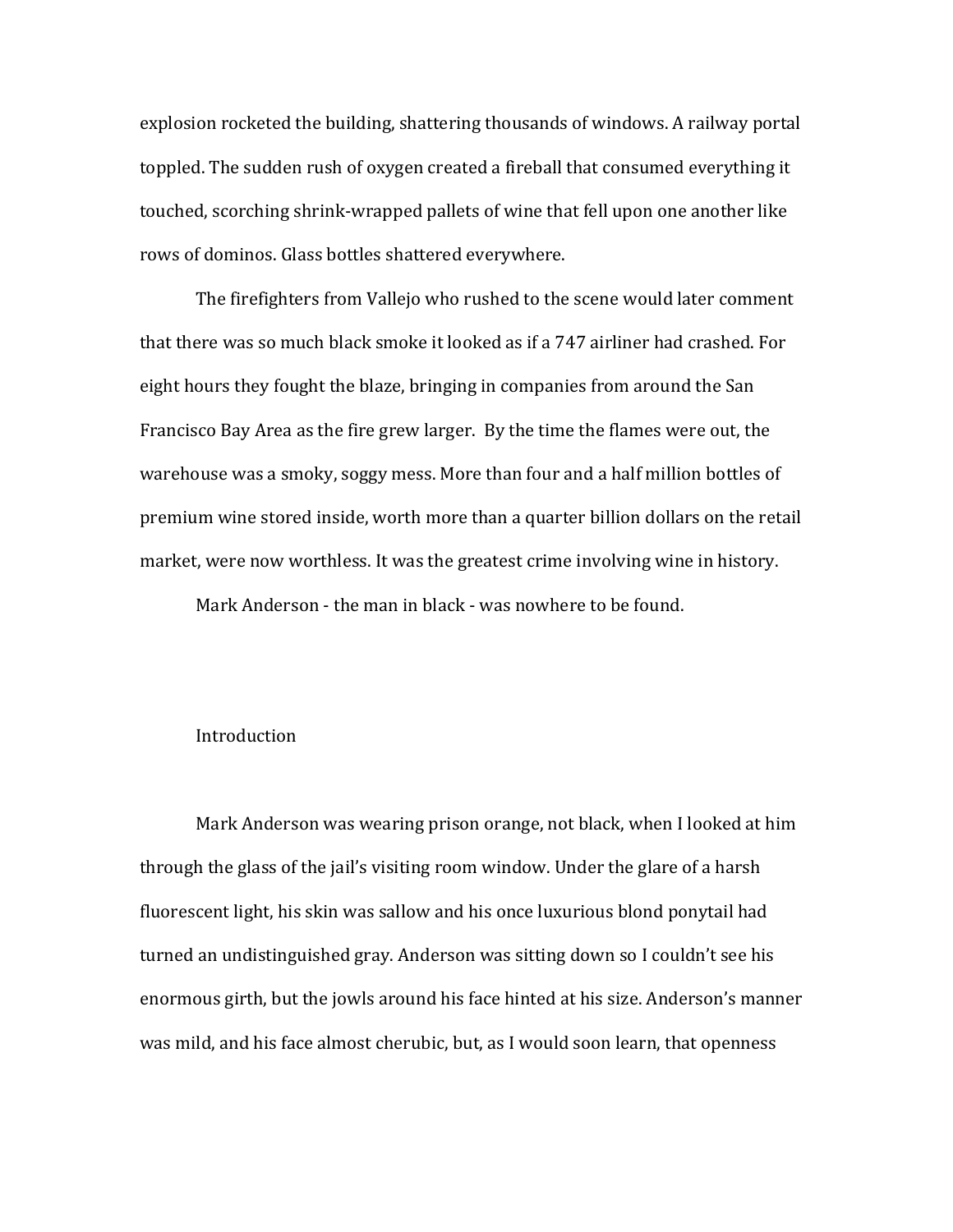explosion rocketed the building, shattering thousands of windows. A railway portal toppled. The sudden rush of oxygen created a fireball that consumed everything it touched, scorching shrink-wrapped pallets of wine that fell upon one another like rows of dominos. Glass bottles shattered everywhere.

The firefighters from Vallejo who rushed to the scene would later comment that there was so much black smoke it looked as if a 747 airliner had crashed. For eight hours they fought the blaze, bringing in companies from around the San Francisco Bay Area as the fire grew larger. By the time the flames were out, the warehouse was a smoky, soggy mess. More than four and a half million bottles of premium wine stored inside, worth more than a quarter billion dollars on the retail market, were now worthless. It was the greatest crime involving wine in history.

Mark Anderson - the man in black - was nowhere to be found.

## Introduction

Mark Anderson was wearing prison orange, not black, when I looked at him through the glass of the jail's visiting room window. Under the glare of a harsh fluorescent light, his skin was sallow and his once luxurious blond ponytail had turned an undistinguished gray. Anderson was sitting down so I couldn't see his enormous girth, but the jowls around his face hinted at his size. Anderson's manner was mild, and his face almost cherubic, but, as I would soon learn, that openness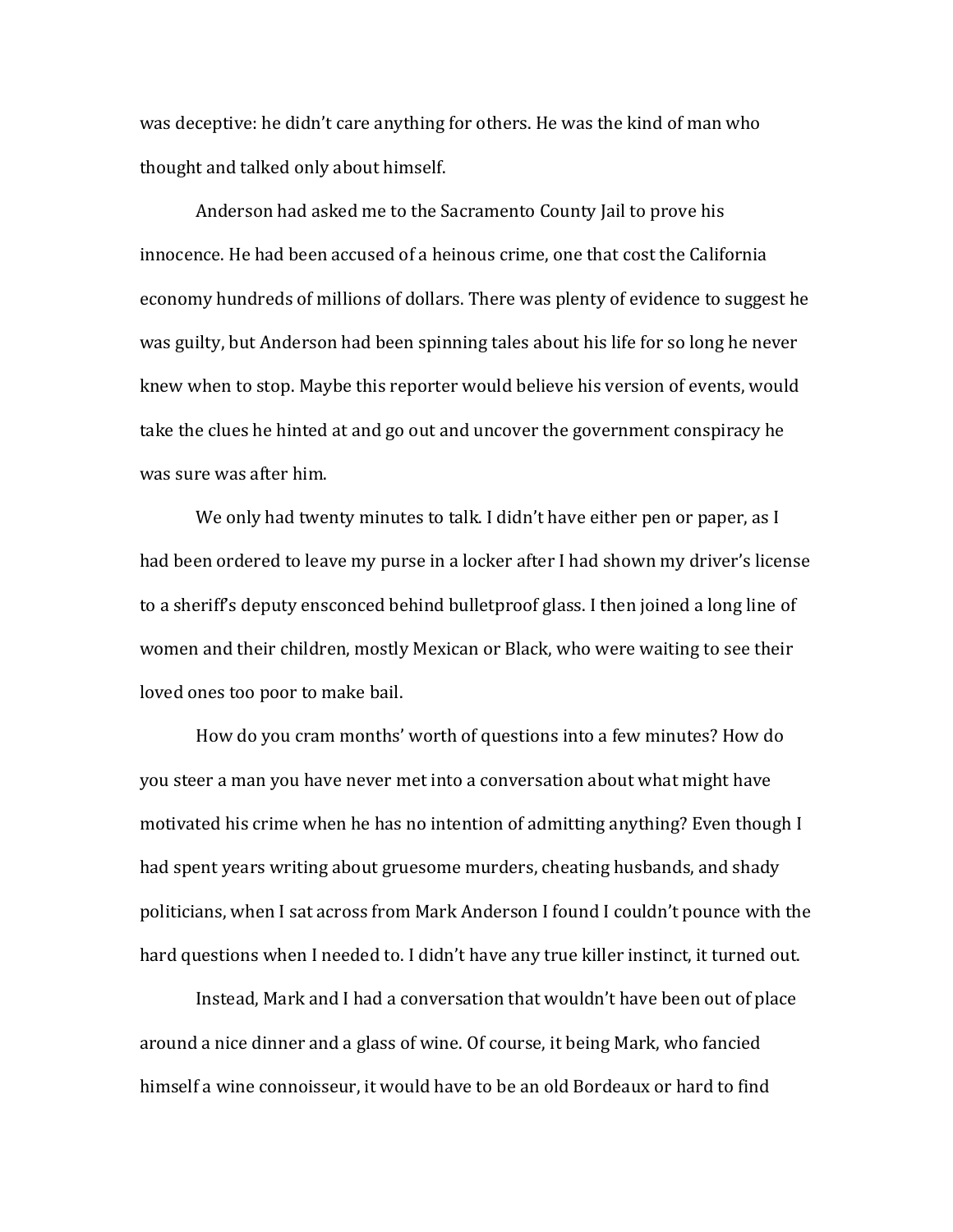was deceptive: he didn't care anything for others. He was the kind of man who thought and talked only about himself.

Anderson had asked me to the Sacramento County Jail to prove his innocence. He had been accused of a heinous crime, one that cost the California economy hundreds of millions of dollars. There was plenty of evidence to suggest he was guilty, but Anderson had been spinning tales about his life for so long he never knew when to stop. Maybe this reporter would believe his version of events, would take the clues he hinted at and go out and uncover the government conspiracy he was sure was after him.

We only had twenty minutes to talk. I didn't have either pen or paper, as I had been ordered to leave my purse in a locker after I had shown my driver's license to a sheriff's deputy ensconced behind bulletproof glass. I then joined a long line of women and their children, mostly Mexican or Black, who were waiting to see their loved ones too poor to make bail.

How do you cram months' worth of questions into a few minutes? How do you steer a man you have never met into a conversation about what might have motivated his crime when he has no intention of admitting anything? Even though  $I$ had spent years writing about gruesome murders, cheating husbands, and shady politicians, when I sat across from Mark Anderson I found I couldn't pounce with the hard questions when I needed to. I didn't have any true killer instinct, it turned out.

Instead, Mark and I had a conversation that wouldn't have been out of place around a nice dinner and a glass of wine. Of course, it being Mark, who fancied himself a wine connoisseur, it would have to be an old Bordeaux or hard to find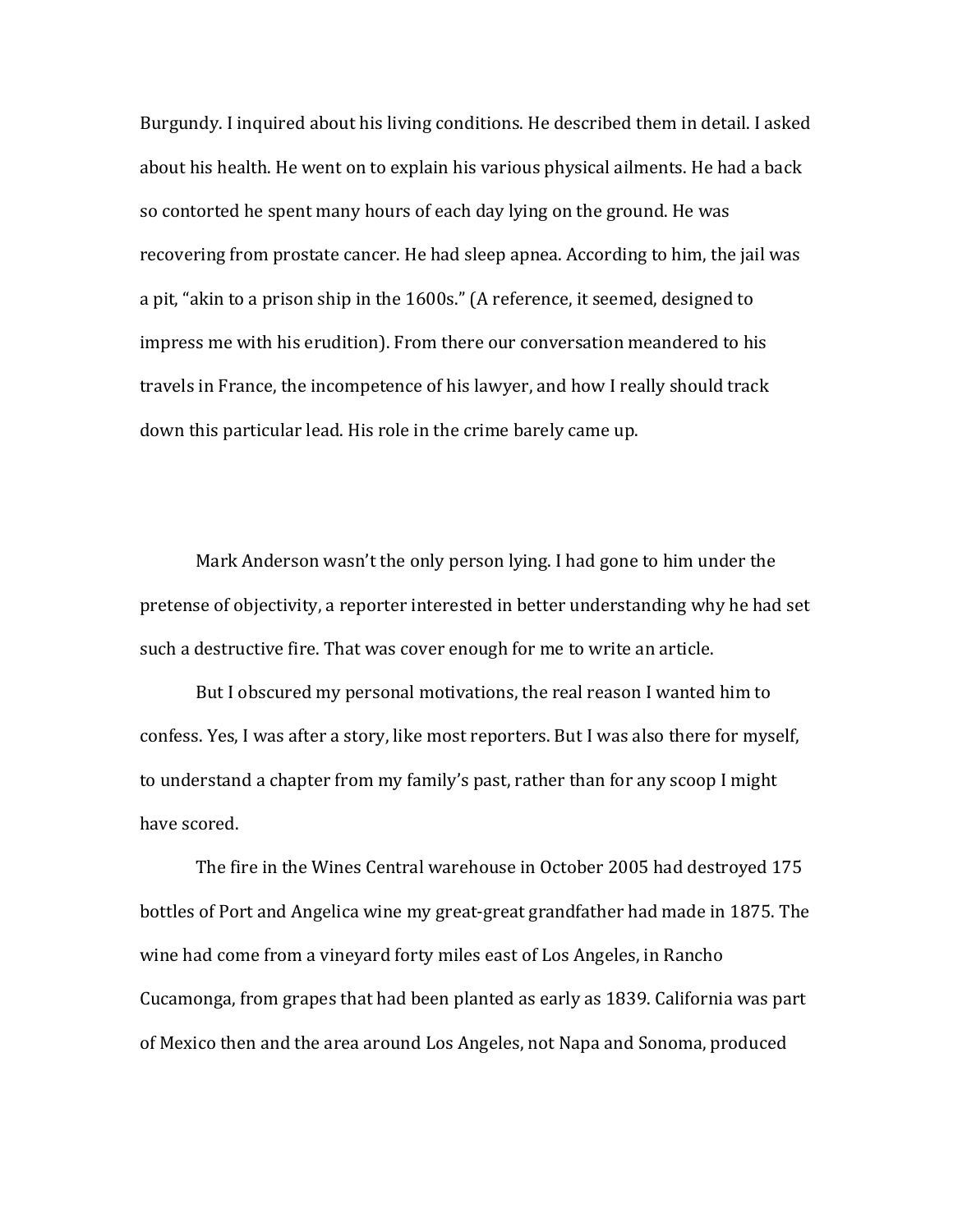Burgundy. I inquired about his living conditions. He described them in detail. I asked about his health. He went on to explain his various physical ailments. He had a back so contorted he spent many hours of each day lying on the ground. He was recovering from prostate cancer. He had sleep apnea. According to him, the jail was a pit, "akin to a prison ship in the 1600s." (A reference, it seemed, designed to impress me with his erudition). From there our conversation meandered to his travels in France, the incompetence of his lawyer, and how I really should track down this particular lead. His role in the crime barely came up.

Mark Anderson wasn't the only person lying. I had gone to him under the pretense of objectivity, a reporter interested in better understanding why he had set such a destructive fire. That was cover enough for me to write an article.

But I obscured my personal motivations, the real reason I wanted him to confess. Yes, I was after a story, like most reporters. But I was also there for myself, to understand a chapter from my family's past, rather than for any scoop I might have scored.

The fire in the Wines Central warehouse in October 2005 had destroyed 175 bottles of Port and Angelica wine my great-great grandfather had made in 1875. The wine had come from a vineyard forty miles east of Los Angeles, in Rancho Cucamonga, from grapes that had been planted as early as 1839. California was part of Mexico then and the area around Los Angeles, not Napa and Sonoma, produced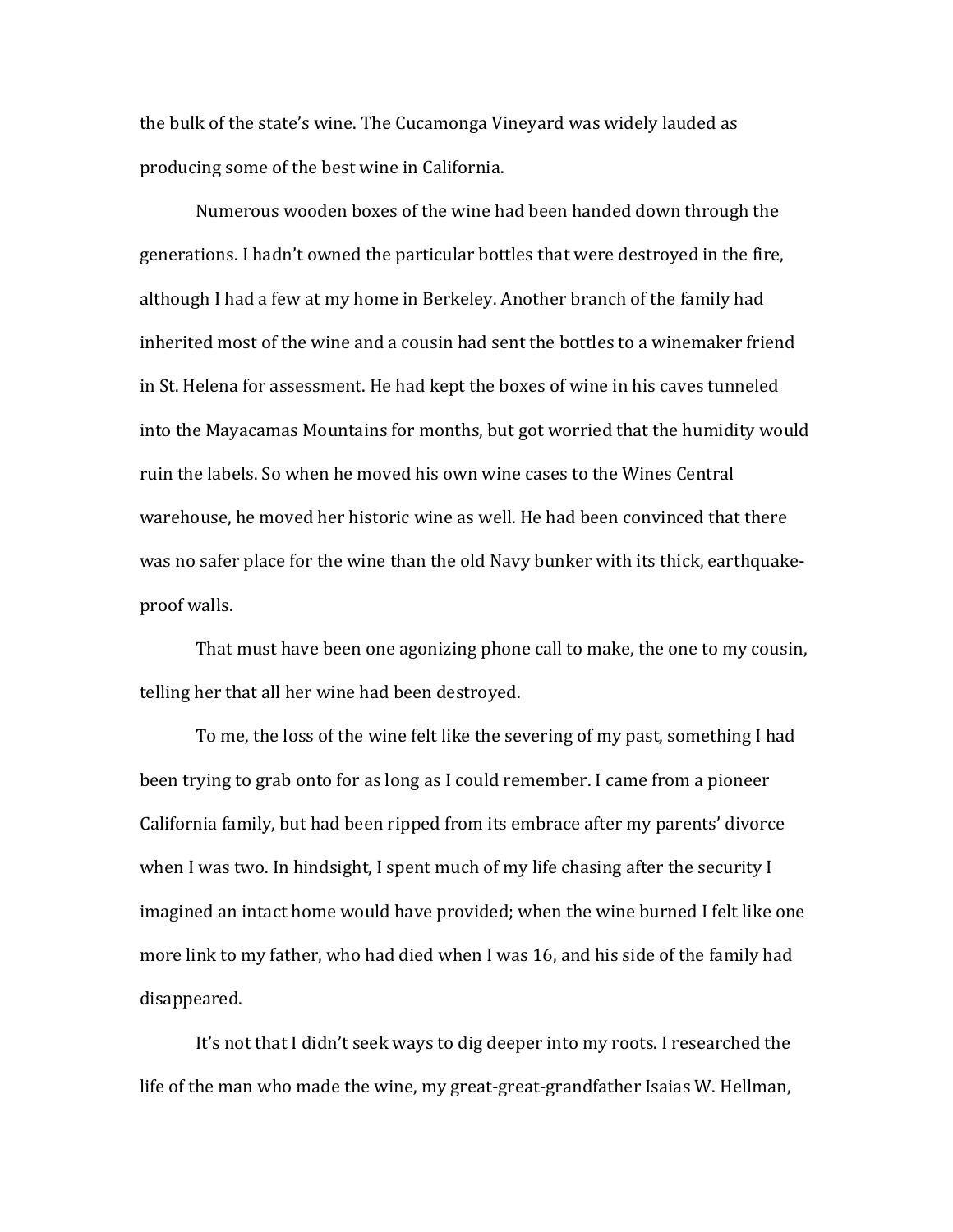the bulk of the state's wine. The Cucamonga Vineyard was widely lauded as producing some of the best wine in California.

Numerous wooden boxes of the wine had been handed down through the generations. I hadn't owned the particular bottles that were destroyed in the fire, although I had a few at my home in Berkeley. Another branch of the family had inherited most of the wine and a cousin had sent the bottles to a winemaker friend in St. Helena for assessment. He had kept the boxes of wine in his caves tunneled into the Mayacamas Mountains for months, but got worried that the humidity would ruin the labels. So when he moved his own wine cases to the Wines Central warehouse, he moved her historic wine as well. He had been convinced that there was no safer place for the wine than the old Navy bunker with its thick, earthquakeproof walls.

That must have been one agonizing phone call to make, the one to my cousin, telling her that all her wine had been destroyed.

To me, the loss of the wine felt like the severing of my past, something I had been trying to grab onto for as long as I could remember. I came from a pioneer California family, but had been ripped from its embrace after my parents' divorce when I was two. In hindsight, I spent much of my life chasing after the security I imagined an intact home would have provided; when the wine burned I felt like one more link to my father, who had died when I was 16, and his side of the family had disappeared. 

It's not that I didn't seek ways to dig deeper into my roots. I researched the life of the man who made the wine, my great-great-grandfather Isaias W. Hellman,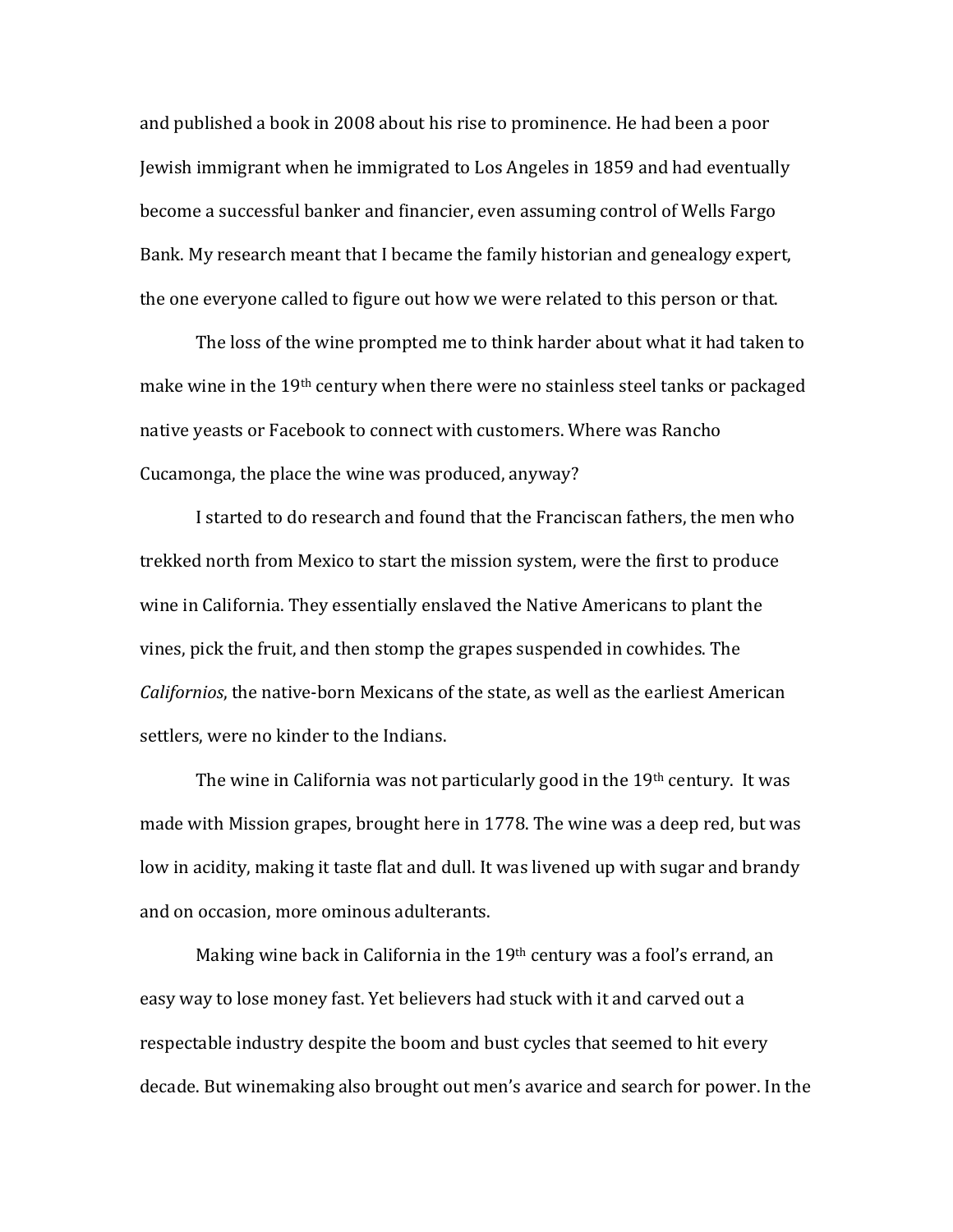and published a book in 2008 about his rise to prominence. He had been a poor Jewish immigrant when he immigrated to Los Angeles in 1859 and had eventually become a successful banker and financier, even assuming control of Wells Fargo Bank. My research meant that I became the family historian and genealogy expert, the one everyone called to figure out how we were related to this person or that.

The loss of the wine prompted me to think harder about what it had taken to make wine in the  $19<sup>th</sup>$  century when there were no stainless steel tanks or packaged native veasts or Facebook to connect with customers. Where was Rancho Cucamonga, the place the wine was produced, anyway?

I started to do research and found that the Franciscan fathers, the men who trekked north from Mexico to start the mission system, were the first to produce wine in California. They essentially enslaved the Native Americans to plant the vines, pick the fruit, and then stomp the grapes suspended in cowhides. The *Californios*, the native-born Mexicans of the state, as well as the earliest American settlers, were no kinder to the Indians.

The wine in California was not particularly good in the 19<sup>th</sup> century. It was made with Mission grapes, brought here in 1778. The wine was a deep red, but was low in acidity, making it taste flat and dull. It was livened up with sugar and brandy and on occasion, more ominous adulterants.

Making wine back in California in the 19<sup>th</sup> century was a fool's errand, an easy way to lose money fast. Yet believers had stuck with it and carved out a respectable industry despite the boom and bust cycles that seemed to hit every decade. But winemaking also brought out men's avarice and search for power. In the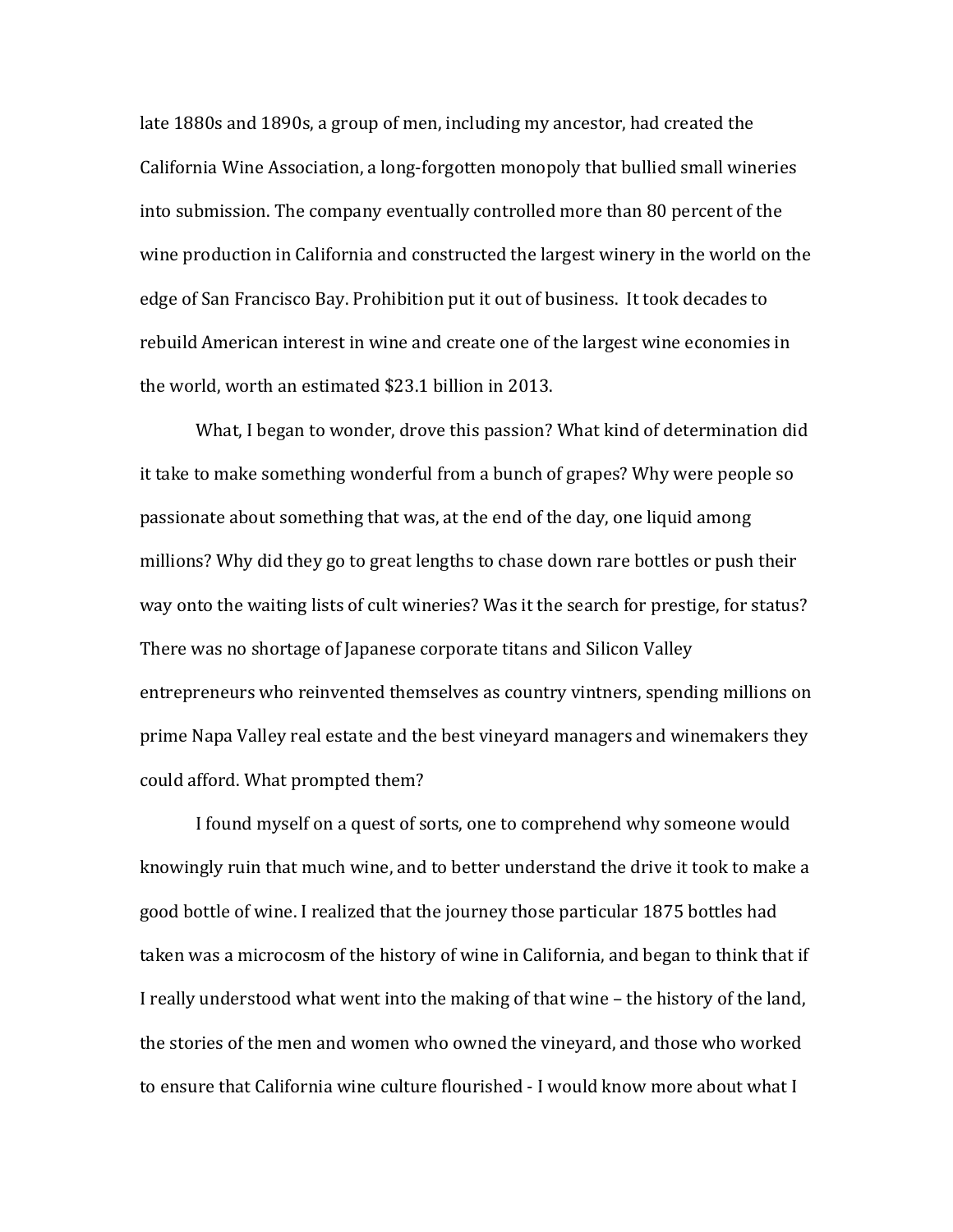late  $1880s$  and  $1890s$ , a group of men, including my ancestor, had created the California Wine Association, a long-forgotten monopoly that bullied small wineries into submission. The company eventually controlled more than 80 percent of the wine production in California and constructed the largest winery in the world on the edge of San Francisco Bay. Prohibition put it out of business. It took decades to rebuild American interest in wine and create one of the largest wine economies in the world, worth an estimated \$23.1 billion in 2013.

What, I began to wonder, drove this passion? What kind of determination did it take to make something wonderful from a bunch of grapes? Why were people so passionate about something that was, at the end of the day, one liquid among millions? Why did they go to great lengths to chase down rare bottles or push their way onto the waiting lists of cult wineries? Was it the search for prestige, for status? There was no shortage of Japanese corporate titans and Silicon Valley entrepreneurs who reinvented themselves as country vintners, spending millions on prime Napa Valley real estate and the best vineyard managers and winemakers they could afford. What prompted them?

I found myself on a quest of sorts, one to comprehend why someone would knowingly ruin that much wine, and to better understand the drive it took to make a good bottle of wine. I realized that the journey those particular 1875 bottles had taken was a microcosm of the history of wine in California, and began to think that if I really understood what went into the making of that wine – the history of the land, the stories of the men and women who owned the vineyard, and those who worked to ensure that California wine culture flourished - I would know more about what I